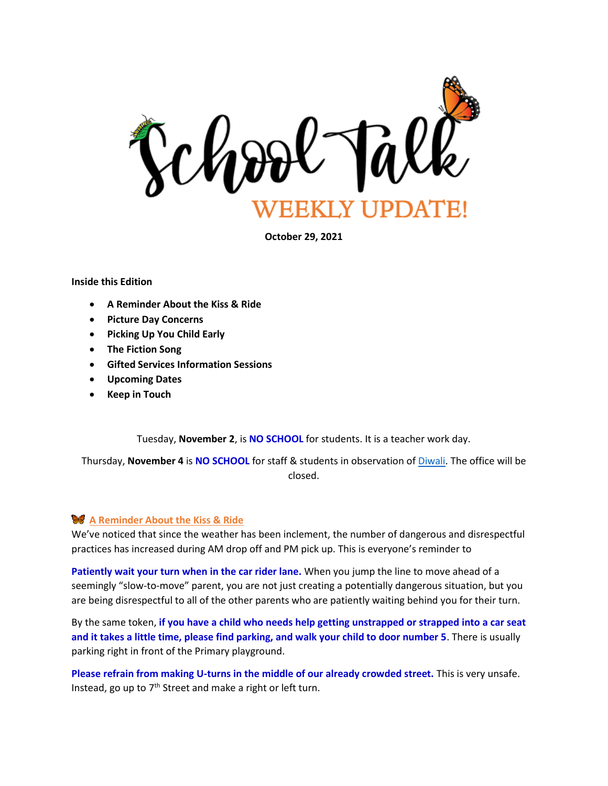

**October 29, 2021**

#### **Inside this Edition**

- **A Reminder About the Kiss & Ride**
- **Picture Day Concerns**
- **Picking Up You Child Early**
- **The Fiction Song**
- **Gifted Services Information Sessions**
- **Upcoming Dates**
- **Keep in Touch**

Tuesday, **November 2**, is **NO SCHOOL** for students. It is a teacher work day.

Thursday, **November 4** is **NO SCHOOL** for staff & students in observation of [Diwali.](https://en.wikipedia.org/wiki/Diwali) The office will be closed.

### **A Reminder About the Kiss & Ride**

We've noticed that since the weather has been inclement, the number of dangerous and disrespectful practices has increased during AM drop off and PM pick up. This is everyone's reminder to

**Patiently wait your turn when in the car rider lane.** When you jump the line to move ahead of a seemingly "slow-to-move" parent, you are not just creating a potentially dangerous situation, but you are being disrespectful to all of the other parents who are patiently waiting behind you for their turn.

By the same token, **if you have a child who needs help getting unstrapped or strapped into a car seat and it takes a little time, please find parking, and walk your child to door number 5**. There is usually parking right in front of the Primary playground.

**Please refrain from making U-turns in the middle of our already crowded street.** This is very unsafe. Instead, go up to  $7<sup>th</sup>$  Street and make a right or left turn.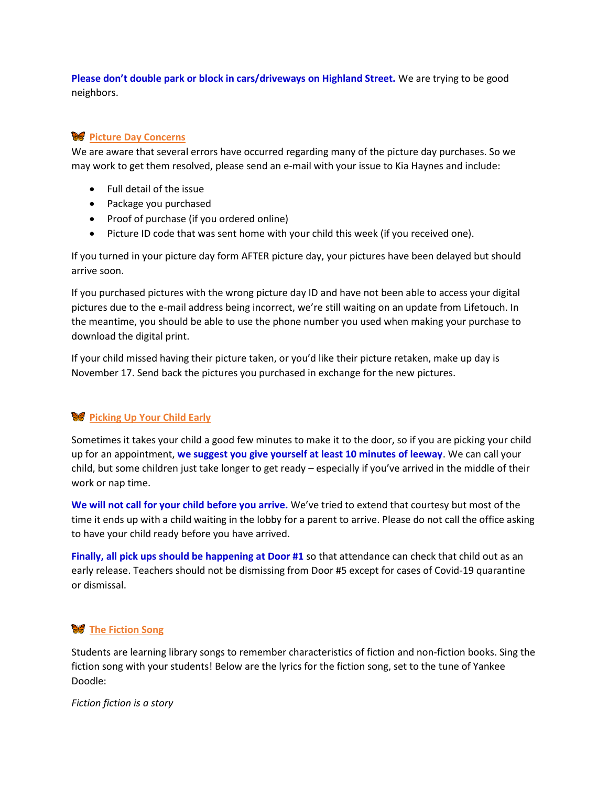**Please don't double park or block in cars/driveways on Highland Street.** We are trying to be good neighbors.

# **W** Picture Day Concerns

We are aware that several errors have occurred regarding many of the picture day purchases. So we may work to get them resolved, please send an e-mail with your issue to Kia Haynes and include:

- Full detail of the issue
- Package you purchased
- Proof of purchase (if you ordered online)
- Picture ID code that was sent home with your child this week (if you received one).

If you turned in your picture day form AFTER picture day, your pictures have been delayed but should arrive soon.

If you purchased pictures with the wrong picture day ID and have not been able to access your digital pictures due to the e-mail address being incorrect, we're still waiting on an update from Lifetouch. In the meantime, you should be able to use the phone number you used when making your purchase to download the digital print.

If your child missed having their picture taken, or you'd like their picture retaken, make up day is November 17. Send back the pictures you purchased in exchange for the new pictures.

# **Picking Up Your Child Early**

Sometimes it takes your child a good few minutes to make it to the door, so if you are picking your child up for an appointment, **we suggest you give yourself at least 10 minutes of leeway**. We can call your child, but some children just take longer to get ready – especially if you've arrived in the middle of their work or nap time.

**We will not call for your child before you arrive.** We've tried to extend that courtesy but most of the time it ends up with a child waiting in the lobby for a parent to arrive. Please do not call the office asking to have your child ready before you have arrived.

**Finally, all pick ups should be happening at Door #1** so that attendance can check that child out as an early release. Teachers should not be dismissing from Door #5 except for cases of Covid-19 quarantine or dismissal.

# **W** The Fiction Song

Students are learning library songs to remember characteristics of fiction and non-fiction books. Sing the fiction song with your students! Below are the lyrics for the fiction song, set to the tune of Yankee Doodle:

*Fiction fiction is a story*